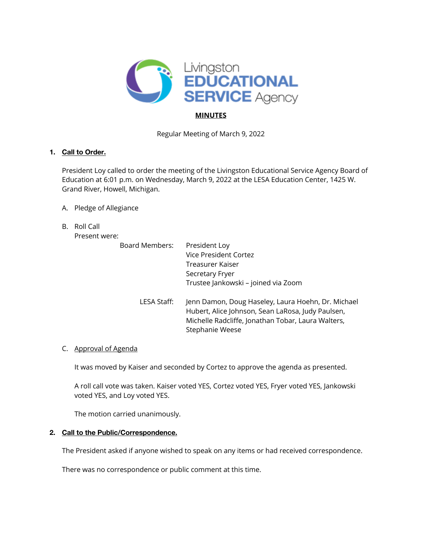

# **MINUTES**

Regular Meeting of March 9, 2022

# **1. Call to Order.**

President Loy called to order the meeting of the Livingston Educational Service Agency Board of Education at 6:01 p.m. on Wednesday, March 9, 2022 at the LESA Education Center, 1425 W. Grand River, Howell, Michigan.

- A. Pledge of Allegiance
- B. Roll Call

Present were:

| Board Members: | President Loy<br><b>Vice President Cortez</b><br>Treasurer Kaiser<br>Secretary Fryer<br>Trustee Jankowski - joined via Zoom                                                      |
|----------------|----------------------------------------------------------------------------------------------------------------------------------------------------------------------------------|
| LESA Staff:    | Jenn Damon, Doug Haseley, Laura Hoehn, Dr. Michael<br>Hubert, Alice Johnson, Sean LaRosa, Judy Paulsen,<br>Michelle Radcliffe, Jonathan Tobar, Laura Walters,<br>Stephanie Weese |

## C. Approval of Agenda

It was moved by Kaiser and seconded by Cortez to approve the agenda as presented.

A roll call vote was taken. Kaiser voted YES, Cortez voted YES, Fryer voted YES, Jankowski voted YES, and Loy voted YES.

The motion carried unanimously.

## **2. Call to the Public/Correspondence.**

The President asked if anyone wished to speak on any items or had received correspondence.

There was no correspondence or public comment at this time.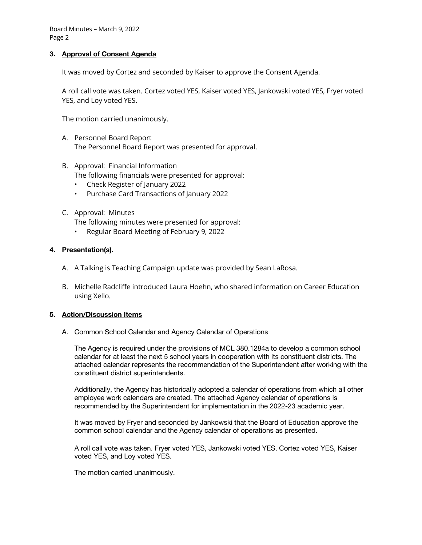### **3. Approval of Consent Agenda**

It was moved by Cortez and seconded by Kaiser to approve the Consent Agenda.

A roll call vote was taken. Cortez voted YES, Kaiser voted YES, Jankowski voted YES, Fryer voted YES, and Loy voted YES.

The motion carried unanimously.

- A. Personnel Board Report The Personnel Board Report was presented for approval.
- B. Approval: Financial Information The following financials were presented for approval:
	- Check Register of January 2022
	- Purchase Card Transactions of January 2022
- C. Approval: Minutes

The following minutes were presented for approval:

• Regular Board Meeting of February 9, 2022

### **4. Presentation(s).**

- A. A Talking is Teaching Campaign update was provided by Sean LaRosa.
- B. Michelle Radcliffe introduced Laura Hoehn, who shared information on Career Education using Xello.

#### **5. Action/Discussion Items**

A. Common School Calendar and Agency Calendar of Operations

The Agency is required under the provisions of MCL 380.1284a to develop a common school calendar for at least the next 5 school years in cooperation with its constituent districts. The attached calendar represents the recommendation of the Superintendent after working with the constituent district superintendents.

Additionally, the Agency has historically adopted a calendar of operations from which all other employee work calendars are created. The attached Agency calendar of operations is recommended by the Superintendent for implementation in the 2022-23 academic year.

It was moved by Fryer and seconded by Jankowski that the Board of Education approve the common school calendar and the Agency calendar of operations as presented.

A roll call vote was taken. Fryer voted YES, Jankowski voted YES, Cortez voted YES, Kaiser voted YES, and Loy voted YES.

The motion carried unanimously.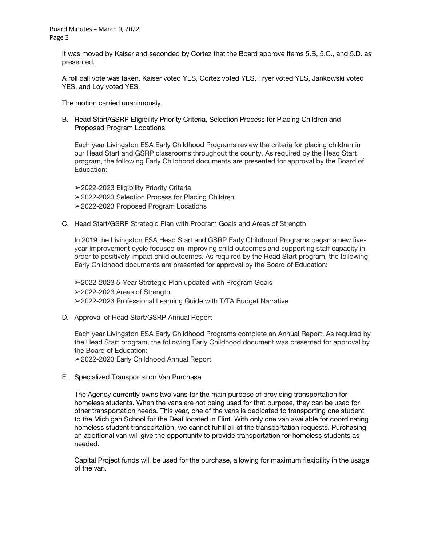It was moved by Kaiser and seconded by Cortez that the Board approve Items 5.B, 5.C., and 5.D. as presented.

A roll call vote was taken. Kaiser voted YES, Cortez voted YES, Fryer voted YES, Jankowski voted YES, and Loy voted YES.

The motion carried unanimously.

B. Head Start/GSRP Eligibility Priority Criteria, Selection Process for Placing Children and Proposed Program Locations

Each year Livingston ESA Early Childhood Programs review the criteria for placing children in our Head Start and GSRP classrooms throughout the county. As required by the Head Start program, the following Early Childhood documents are presented for approval by the Board of Education:

➢2022-2023 Eligibility Priority Criteria ➢2022-2023 Selection Process for Placing Children ➢2022-2023 Proposed Program Locations

C. Head Start/GSRP Strategic Plan with Program Goals and Areas of Strength

In 2019 the Livingston ESA Head Start and GSRP Early Childhood Programs began a new fiveyear improvement cycle focused on improving child outcomes and supporting staff capacity in order to positively impact child outcomes. As required by the Head Start program, the following Early Childhood documents are presented for approval by the Board of Education:

➢2022-2023 5-Year Strategic Plan updated with Program Goals ➢2022-2023 Areas of Strength ➢2022-2023 Professional Learning Guide with T/TA Budget Narrative

D. Approval of Head Start/GSRP Annual Report

Each year Livingston ESA Early Childhood Programs complete an Annual Report. As required by the Head Start program, the following Early Childhood document was presented for approval by the Board of Education:

➢2022-2023 Early Childhood Annual Report

E. Specialized Transportation Van Purchase

The Agency currently owns two vans for the main purpose of providing transportation for homeless students. When the vans are not being used for that purpose, they can be used for other transportation needs. This year, one of the vans is dedicated to transporting one student to the Michigan School for the Deaf located in Flint. With only one van available for coordinating homeless student transportation, we cannot fulfill all of the transportation requests. Purchasing an additional van will give the opportunity to provide transportation for homeless students as needed.

Capital Project funds will be used for the purchase, allowing for maximum flexibility in the usage of the van.